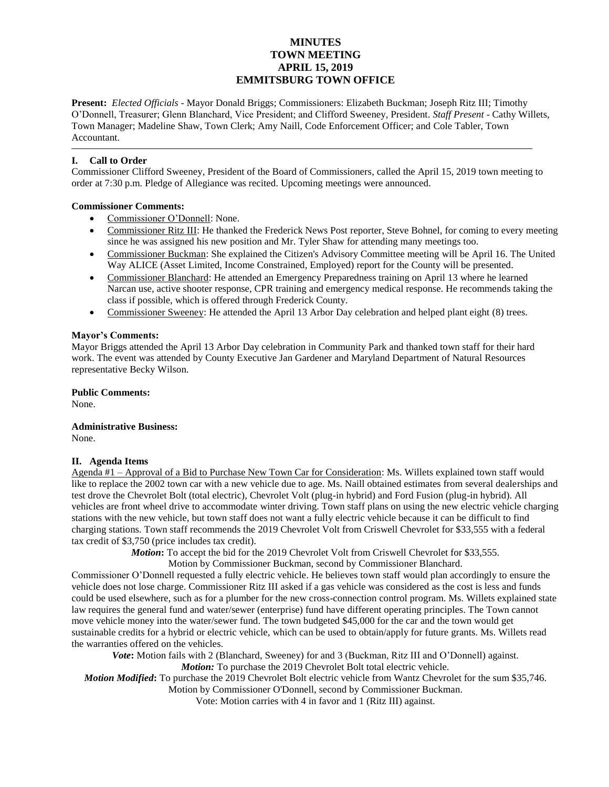# **MINUTES TOWN MEETING APRIL 15, 2019 EMMITSBURG TOWN OFFICE**

**Present:** *Elected Officials* - Mayor Donald Briggs; Commissioners: Elizabeth Buckman; Joseph Ritz III; Timothy O'Donnell, Treasurer; Glenn Blanchard, Vice President; and Clifford Sweeney, President. *Staff Present* - Cathy Willets, Town Manager; Madeline Shaw, Town Clerk; Amy Naill, Code Enforcement Officer; and Cole Tabler, Town Accountant.

## **I. Call to Order**

Commissioner Clifford Sweeney, President of the Board of Commissioners, called the April 15, 2019 town meeting to order at 7:30 p.m. Pledge of Allegiance was recited. Upcoming meetings were announced.

## **Commissioner Comments:**

- Commissioner O'Donnell: None.
- Commissioner Ritz III: He thanked the Frederick News Post reporter, Steve Bohnel, for coming to every meeting since he was assigned his new position and Mr. Tyler Shaw for attending many meetings too.
- Commissioner Buckman: She explained the Citizen's Advisory Committee meeting will be April 16. The United Way ALICE (Asset Limited, Income Constrained, Employed) report for the County will be presented.
- Commissioner Blanchard: He attended an Emergency Preparedness training on April 13 where he learned Narcan use, active shooter response, CPR training and emergency medical response. He recommends taking the class if possible, which is offered through Frederick County.
- Commissioner Sweeney: He attended the April 13 Arbor Day celebration and helped plant eight (8) trees.

#### **Mayor's Comments:**

Mayor Briggs attended the April 13 Arbor Day celebration in Community Park and thanked town staff for their hard work. The event was attended by County Executive Jan Gardener and Maryland Department of Natural Resources representative Becky Wilson.

**Public Comments:** None.

**Administrative Business:** None.

#### **II. Agenda Items**

Agenda #1 – Approval of a Bid to Purchase New Town Car for Consideration: Ms. Willets explained town staff would like to replace the 2002 town car with a new vehicle due to age. Ms. Naill obtained estimates from several dealerships and test drove the Chevrolet Bolt (total electric), Chevrolet Volt (plug-in hybrid) and Ford Fusion (plug-in hybrid). All vehicles are front wheel drive to accommodate winter driving. Town staff plans on using the new electric vehicle charging stations with the new vehicle, but town staff does not want a fully electric vehicle because it can be difficult to find charging stations. Town staff recommends the 2019 Chevrolet Volt from Criswell Chevrolet for \$33,555 with a federal tax credit of \$3,750 (price includes tax credit).

*Motion***:** To accept the bid for the 2019 Chevrolet Volt from Criswell Chevrolet for \$33,555.

Motion by Commissioner Buckman, second by Commissioner Blanchard.

Commissioner O'Donnell requested a fully electric vehicle. He believes town staff would plan accordingly to ensure the vehicle does not lose charge. Commissioner Ritz III asked if a gas vehicle was considered as the cost is less and funds could be used elsewhere, such as for a plumber for the new cross-connection control program. Ms. Willets explained state law requires the general fund and water/sewer (enterprise) fund have different operating principles. The Town cannot move vehicle money into the water/sewer fund. The town budgeted \$45,000 for the car and the town would get sustainable credits for a hybrid or electric vehicle, which can be used to obtain/apply for future grants. Ms. Willets read the warranties offered on the vehicles.

**Vote:** Motion fails with 2 (Blanchard, Sweeney) for and 3 (Buckman, Ritz III and O'Donnell) against. *Motion:* To purchase the 2019 Chevrolet Bolt total electric vehicle.

*Motion Modified***:** To purchase the 2019 Chevrolet Bolt electric vehicle from Wantz Chevrolet for the sum \$35,746.

Motion by Commissioner O'Donnell, second by Commissioner Buckman.

Vote: Motion carries with 4 in favor and 1 (Ritz III) against.